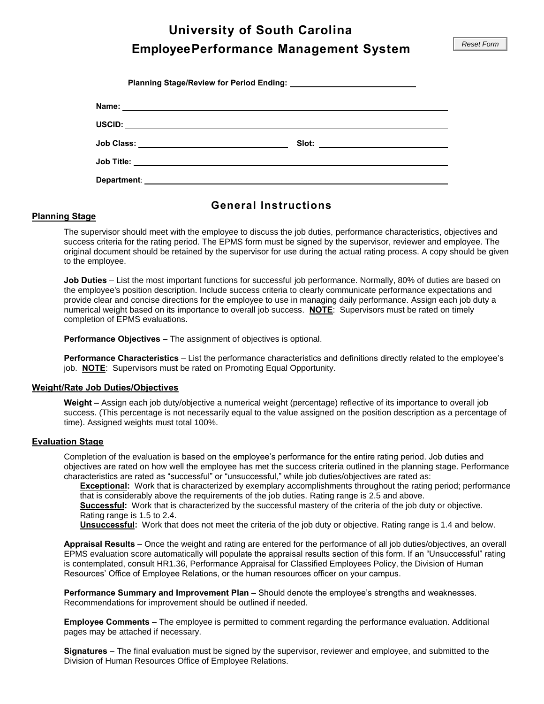**University of South Carolina**

 **Employee Performance Management System**

| Department: |  |
|-------------|--|

## **General Instructions**

#### **Planning Stage**

The supervisor should meet with the employee to discuss the job duties, performance characteristics, objectives and success criteria for the rating period. The EPMS form must be signed by the supervisor, reviewer and employee. The original document should be retained by the supervisor for use during the actual rating process. A copy should be given to the employee.

 numerical weight based on its importance to overall job success. **NOTE**: Supervisors must be rated on timely **Job Duties** – List the most important functions for successful job performance. Normally, 80% of duties are based on the employee's position description. Include success criteria to clearly communicate performance expectations and provide clear and concise directions for the employee to use in managing daily performance. Assign each job duty a completion of EPMS evaluations.

**Performance Objectives** – The assignment of objectives is optional.

**Performance Characteristics** – List the performance characteristics and definitions directly related to the employee's job. **NOTE**: Supervisors must be rated on Promoting Equal Opportunity.

#### **Weight/Rate Job Duties/Objectives**

**Weight** – Assign each job duty/objective a numerical weight (percentage) reflective of its importance to overall job success. (This percentage is not necessarily equal to the value assigned on the position description as a percentage of time). Assigned weights must total 100%.

#### **Evaluation Stage**

 characteristics are rated as "successful" or "unsuccessful," while job duties/objectives are rated as: Completion of the evaluation is based on the employee's performance for the entire rating period. Job duties and objectives are rated on how well the employee has met the success criteria outlined in the planning stage. Performance

**Exceptional:** Work that is characterized by exemplary accomplishments throughout the rating period; performance that is considerably above the requirements of the job duties. Rating range is 2.5 and above.

 **Successful:** Work that is characterized by the successful mastery of the criteria of the job duty or objective. Rating range is 1.5 to 2.4.

**Unsuccessful:** Work that does not meet the criteria of the job duty or objective. Rating range is 1.4 and below.

 EPMS evaluation score automatically will populate the appraisal results section of this form. If an "Unsuccessful" rating **Appraisal Results** – Once the weight and rating are entered for the performance of all job duties/objectives, an overall is contemplated, consult HR1.36, Performance Appraisal for Classified Employees Policy, the Division of Human Resources' Office of Employee Relations, or the human resources officer on your campus.

 **Performance Summary and Improvement Plan** – Should denote the employee's strengths and weaknesses. Recommendations for improvement should be outlined if needed.

 **Employee Comments** – The employee is permitted to comment regarding the performance evaluation. Additional pages may be attached if necessary.

 **Signatures** – The final evaluation must be signed by the supervisor, reviewer and employee, and submitted to the Division of Human Resources Office of Employee Relations.

Reset Form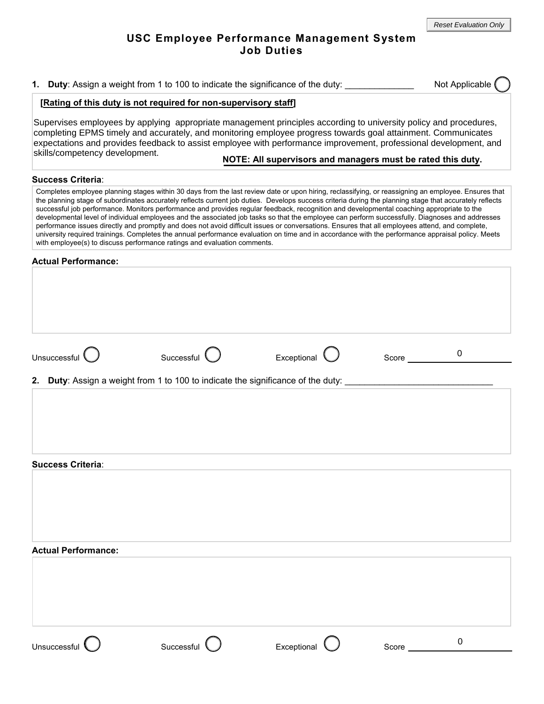## **USC Employee Performance Management System Job Duties**

**1. Duty**: Assign a weight from 1 to 100 to indicate the significance of the duty: \_\_\_\_\_\_\_\_\_\_\_\_\_\_ Not Applicable

## **[Rating of this duty is not required for non-supervisory staff]**

Supervises employees by applying appropriate management principles according to university policy and procedures, completing EPMS timely and accurately, and monitoring employee progress towards goal attainment. Communicates expectations and provides feedback to assist employee with performance improvement, professional development, and skills/competency development.

## **NOTE: All supervisors and managers must be rated this duty.**

#### **Success Criteria**:

Completes employee planning stages within 30 days from the last review date or upon hiring, reclassifying, or reassigning an employee. Ensures that the planning stage of subordinates accurately reflects current job duties. Develops success criteria during the planning stage that accurately reflects successful job performance. Monitors performance and provides regular feedback, recognition and developmental coaching appropriate to the developmental level of individual employees and the associated job tasks so that the employee can perform successfully. Diagnoses and addresses performance issues directly and promptly and does not avoid difficult issues or conversations. Ensures that all employees attend, and complete, university required trainings. Completes the annual performance evaluation on time and in accordance with the performance appraisal policy. Meets with employee(s) to discuss performance ratings and evaluation comments.

#### **Actual Performance:**

| Unsuccessful |  |
|--------------|--|
|              |  |



0

**2. Duty**: Assign a weight from 1 to 100 to indicate the significance of the duty:

#### **Actual Performance:**

**Success Criteria**:

| <b>Actual Performance:</b> |              |             |       |   |  |
|----------------------------|--------------|-------------|-------|---|--|
|                            |              |             |       |   |  |
|                            |              |             |       |   |  |
|                            |              |             |       |   |  |
|                            |              |             |       |   |  |
|                            |              |             |       |   |  |
|                            |              |             |       |   |  |
| Unsuccessful               | Successful \ | Exceptional | Score | 0 |  |
|                            |              |             |       |   |  |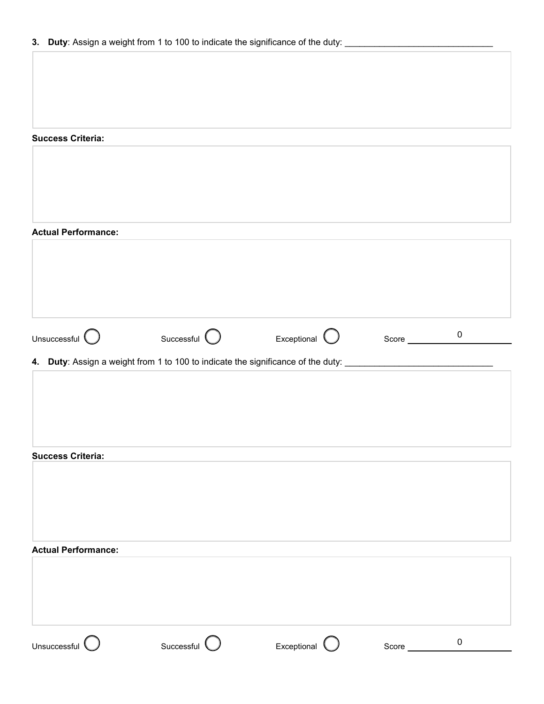| <b>Success Criteria:</b>   |                                                                                             |                        |                  |             |
|----------------------------|---------------------------------------------------------------------------------------------|------------------------|------------------|-------------|
|                            |                                                                                             |                        |                  |             |
|                            |                                                                                             |                        |                  |             |
|                            |                                                                                             |                        |                  |             |
|                            |                                                                                             |                        |                  |             |
| <b>Actual Performance:</b> |                                                                                             |                        |                  |             |
|                            |                                                                                             |                        |                  |             |
|                            |                                                                                             |                        |                  |             |
|                            |                                                                                             |                        |                  |             |
|                            |                                                                                             |                        |                  |             |
| Unsuccessful $\bigcirc$    | Successful $\bigcirc$                                                                       | Exceptional $\bigcirc$ | Score __________ | $\mathbf 0$ |
|                            |                                                                                             |                        |                  |             |
|                            | 4. Duty: Assign a weight from 1 to 100 to indicate the significance of the duty: __________ |                        |                  |             |
|                            |                                                                                             |                        |                  |             |
|                            |                                                                                             |                        |                  |             |
|                            |                                                                                             |                        |                  |             |
|                            |                                                                                             |                        |                  |             |
| <b>Success Criteria:</b>   |                                                                                             |                        |                  |             |
|                            |                                                                                             |                        |                  |             |
|                            |                                                                                             |                        |                  |             |
|                            |                                                                                             |                        |                  |             |
|                            |                                                                                             |                        |                  |             |
| <b>Actual Performance:</b> |                                                                                             |                        |                  |             |
|                            |                                                                                             |                        |                  |             |
|                            |                                                                                             |                        |                  |             |
|                            |                                                                                             |                        |                  |             |
|                            |                                                                                             |                        |                  |             |
|                            |                                                                                             |                        |                  |             |
| Unsuccessful $\bigcup$     | Successful $\bigcirc$                                                                       | Exceptional $\bigcirc$ |                  | $\pmb{0}$   |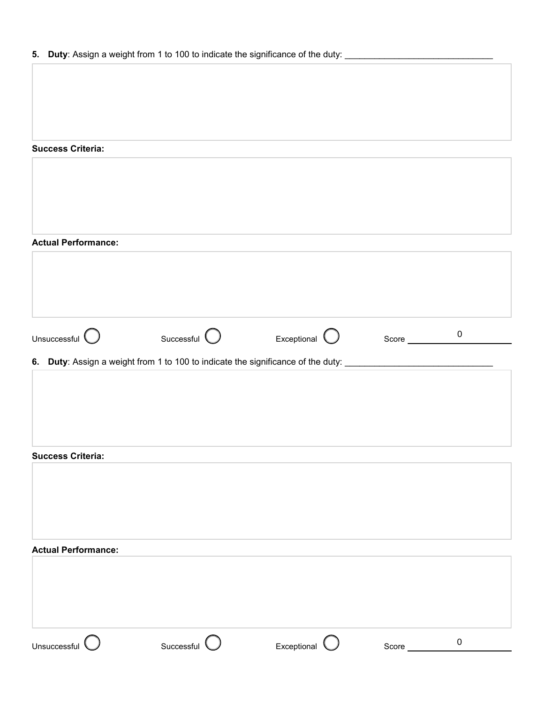**5. Duty**: Assign a weight from 1 to 100 to indicate the significance of the duty: \_\_\_\_\_\_\_\_\_\_\_\_\_\_\_\_\_\_\_\_\_\_\_\_\_\_\_\_\_\_\_\_\_

#### **Success Criteria:**

| <b>Actual Performance:</b> |                                                                                                                |             |       |                  |
|----------------------------|----------------------------------------------------------------------------------------------------------------|-------------|-------|------------------|
|                            |                                                                                                                |             |       |                  |
|                            |                                                                                                                |             |       |                  |
|                            |                                                                                                                |             |       |                  |
| Unsuccessful $\bigcirc$    | Successful <b>O</b> Exceptional C Score 0                                                                      |             |       |                  |
|                            | 6. Duty: Assign a weight from 1 to 100 to indicate the significance of the duty: _____________________________ |             |       |                  |
|                            |                                                                                                                |             |       |                  |
|                            |                                                                                                                |             |       |                  |
|                            |                                                                                                                |             |       |                  |
| <b>Success Criteria:</b>   |                                                                                                                |             |       |                  |
|                            |                                                                                                                |             |       |                  |
|                            |                                                                                                                |             |       |                  |
|                            |                                                                                                                |             |       |                  |
| <b>Actual Performance:</b> |                                                                                                                |             |       |                  |
|                            |                                                                                                                |             |       |                  |
|                            |                                                                                                                |             |       |                  |
| Unsuccessful $\bigcirc$    | Successful O                                                                                                   | Exceptional |       | $\boldsymbol{0}$ |
|                            |                                                                                                                |             | Score |                  |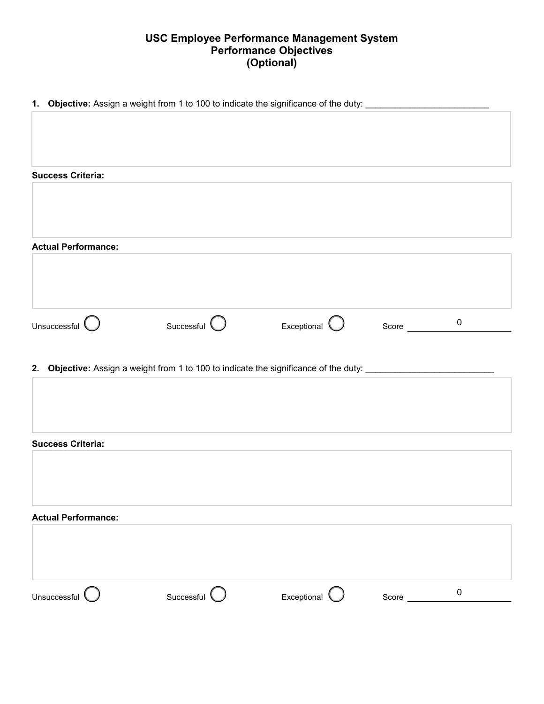# **USC Employee Performance Management System Performance Objectives (Optional)**

| 1. Objective: Assign a weight from 1 to 100 to indicate the significance of the duty: ____________________ |                                                                                                                |                        |                       |           |
|------------------------------------------------------------------------------------------------------------|----------------------------------------------------------------------------------------------------------------|------------------------|-----------------------|-----------|
|                                                                                                            |                                                                                                                |                        |                       |           |
|                                                                                                            |                                                                                                                |                        |                       |           |
|                                                                                                            |                                                                                                                |                        |                       |           |
| <b>Success Criteria:</b>                                                                                   |                                                                                                                |                        |                       |           |
|                                                                                                            |                                                                                                                |                        |                       |           |
|                                                                                                            |                                                                                                                |                        |                       |           |
|                                                                                                            |                                                                                                                |                        |                       |           |
| <b>Actual Performance:</b>                                                                                 |                                                                                                                |                        |                       |           |
|                                                                                                            |                                                                                                                |                        |                       |           |
|                                                                                                            |                                                                                                                |                        |                       |           |
|                                                                                                            |                                                                                                                |                        |                       |           |
| Unsuccessful $\bigcirc$                                                                                    | Successful $\bigcirc$                                                                                          | Exceptional $\bigcirc$ | Score $\qquad \qquad$ | $\pmb{0}$ |
|                                                                                                            |                                                                                                                |                        |                       |           |
|                                                                                                            |                                                                                                                |                        |                       |           |
|                                                                                                            |                                                                                                                |                        |                       |           |
|                                                                                                            | 2. Objective: Assign a weight from 1 to 100 to indicate the significance of the duty: ________________________ |                        |                       |           |
|                                                                                                            |                                                                                                                |                        |                       |           |
|                                                                                                            |                                                                                                                |                        |                       |           |
|                                                                                                            |                                                                                                                |                        |                       |           |
|                                                                                                            |                                                                                                                |                        |                       |           |
|                                                                                                            |                                                                                                                |                        |                       |           |
|                                                                                                            |                                                                                                                |                        |                       |           |
|                                                                                                            |                                                                                                                |                        |                       |           |
|                                                                                                            |                                                                                                                |                        |                       |           |
|                                                                                                            |                                                                                                                |                        |                       |           |
| <b>Success Criteria:</b><br><b>Actual Performance:</b>                                                     |                                                                                                                |                        |                       |           |
| Unsuccessful                                                                                               | Successful $\bigcup$                                                                                           | Exceptional            | Score                 | $\pmb{0}$ |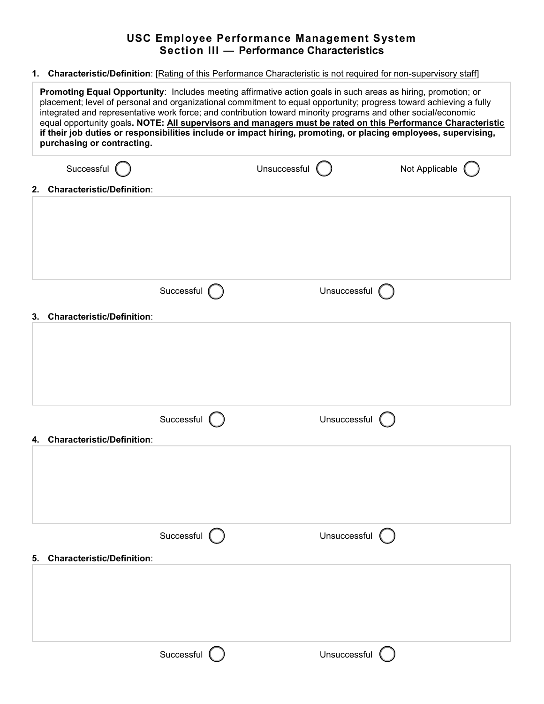# **USC Employee Performance Management System Section III — Performance Characteristics**

**1. Characteristic/Definition**: [Rating of this Performance Characteristic is not required for non-supervisory staff]

|    | Promoting Equal Opportunity: Includes meeting affirmative action goals in such areas as hiring, promotion; or<br>placement; level of personal and organizational commitment to equal opportunity; progress toward achieving a fully<br>integrated and representative work force; and contribution toward minority programs and other social/economic<br>equal opportunity goals. NOTE: All supervisors and managers must be rated on this Performance Characteristic<br>if their job duties or responsibilities include or impact hiring, promoting, or placing employees, supervising,<br>purchasing or contracting. |               |                |                |                |  |
|----|-----------------------------------------------------------------------------------------------------------------------------------------------------------------------------------------------------------------------------------------------------------------------------------------------------------------------------------------------------------------------------------------------------------------------------------------------------------------------------------------------------------------------------------------------------------------------------------------------------------------------|---------------|----------------|----------------|----------------|--|
|    | Successful (                                                                                                                                                                                                                                                                                                                                                                                                                                                                                                                                                                                                          |               | Unsuccessful ( |                | Not Applicable |  |
| 2. | <b>Characteristic/Definition:</b>                                                                                                                                                                                                                                                                                                                                                                                                                                                                                                                                                                                     |               |                |                |                |  |
|    |                                                                                                                                                                                                                                                                                                                                                                                                                                                                                                                                                                                                                       |               |                |                |                |  |
|    |                                                                                                                                                                                                                                                                                                                                                                                                                                                                                                                                                                                                                       |               |                |                |                |  |
|    |                                                                                                                                                                                                                                                                                                                                                                                                                                                                                                                                                                                                                       | Successful (  |                | Unsuccessful ( |                |  |
| 3. | <b>Characteristic/Definition:</b>                                                                                                                                                                                                                                                                                                                                                                                                                                                                                                                                                                                     |               |                |                |                |  |
|    |                                                                                                                                                                                                                                                                                                                                                                                                                                                                                                                                                                                                                       |               |                |                |                |  |
|    |                                                                                                                                                                                                                                                                                                                                                                                                                                                                                                                                                                                                                       |               |                |                |                |  |
|    |                                                                                                                                                                                                                                                                                                                                                                                                                                                                                                                                                                                                                       |               |                |                |                |  |
|    |                                                                                                                                                                                                                                                                                                                                                                                                                                                                                                                                                                                                                       | Successful (  |                | Unsuccessful   |                |  |
| 4. | <b>Characteristic/Definition:</b>                                                                                                                                                                                                                                                                                                                                                                                                                                                                                                                                                                                     |               |                |                |                |  |
|    |                                                                                                                                                                                                                                                                                                                                                                                                                                                                                                                                                                                                                       |               |                |                |                |  |
|    |                                                                                                                                                                                                                                                                                                                                                                                                                                                                                                                                                                                                                       |               |                |                |                |  |
|    |                                                                                                                                                                                                                                                                                                                                                                                                                                                                                                                                                                                                                       |               |                |                |                |  |
|    |                                                                                                                                                                                                                                                                                                                                                                                                                                                                                                                                                                                                                       | Successful () |                | Unsuccessful ( |                |  |
| 5. | <b>Characteristic/Definition:</b>                                                                                                                                                                                                                                                                                                                                                                                                                                                                                                                                                                                     |               |                |                |                |  |
|    |                                                                                                                                                                                                                                                                                                                                                                                                                                                                                                                                                                                                                       |               |                |                |                |  |
|    |                                                                                                                                                                                                                                                                                                                                                                                                                                                                                                                                                                                                                       |               |                |                |                |  |
|    |                                                                                                                                                                                                                                                                                                                                                                                                                                                                                                                                                                                                                       |               |                |                |                |  |
|    |                                                                                                                                                                                                                                                                                                                                                                                                                                                                                                                                                                                                                       | Successful (  |                | Unsuccessful ( |                |  |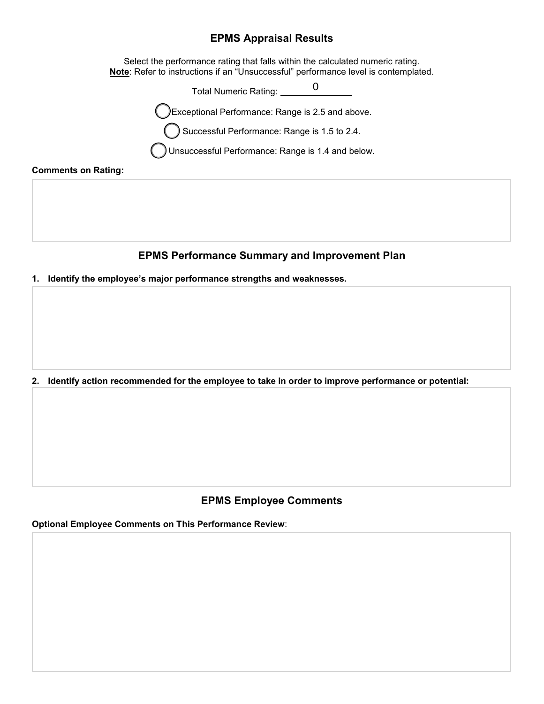# **EPMS Appraisal Results**

 Select the performance rating that falls within the calculated numeric rating. **Note**: Refer to instructions if an "Unsuccessful" performance level is contemplated.

> Total Numeric Rating: 0

Exceptional Performance: Range is 2.5 and above.

Successful Performance: Range is 1.5 to 2.4.

Unsuccessful Performance: Range is 1.4 and below.

#### **Comments on Rating:**

# **EPMS Performance Summary and Improvement Plan**

**1. Identify the employee's major performance strengths and weaknesses.**

**2. Identify action recommended for the employee to take in order to improve performance or potential:**

# **EPMS Employee Comments**

**Optional Employee Comments on This Performance Review**: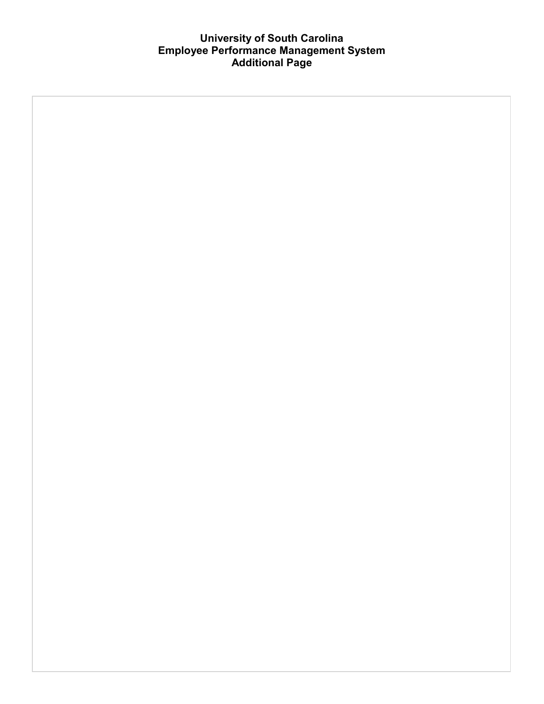# **University of South Carolina Employee Performance Management System Additional Page**